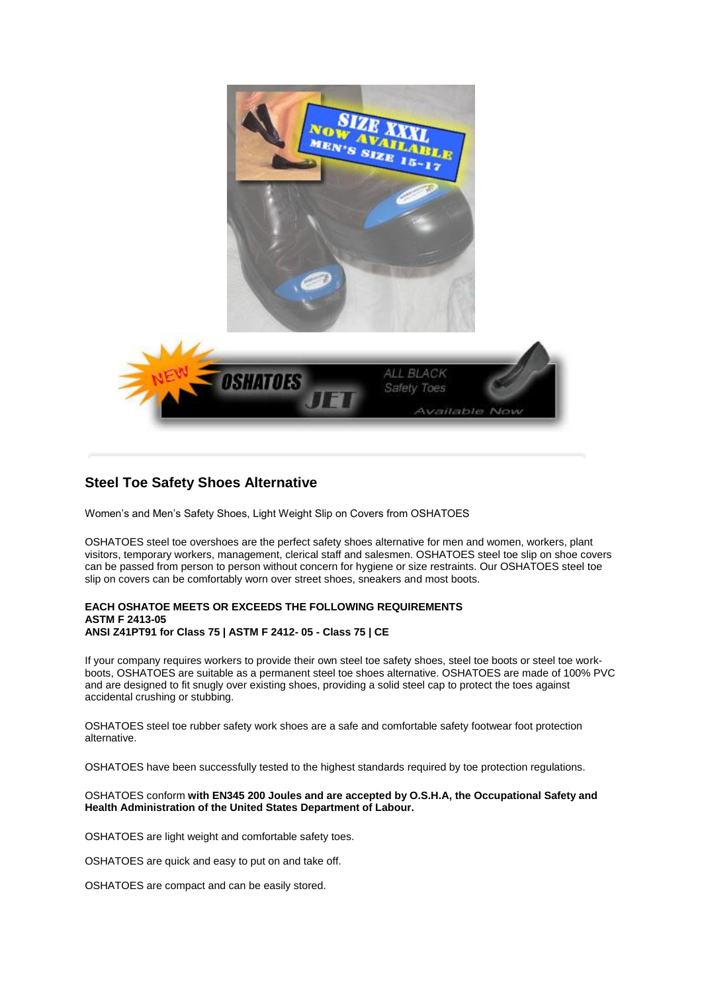

## **Steel Toe Safety Shoes Alternative**

Women's and Men's Safety Shoes, Light Weight Slip on Covers from OSHATOES

OSHATOES steel toe overshoes are the perfect safety shoes alternative for men and women, workers, plant visitors, temporary workers, management, clerical staff and salesmen. OSHATOES steel toe slip on shoe covers can be passed from person to person without concern for hygiene or size restraints. Our OSHATOES steel toe slip on covers can be comfortably worn over street shoes, sneakers and most boots.

## **EACH OSHATOE MEETS OR EXCEEDS THE FOLLOWING REQUIREMENTS ASTM F 2413-05 ANSI Z41PT91 for Class 75 | ASTM F 2412- 05 - Class 75 | CE**

If your company requires workers to provide their own steel toe safety shoes, steel toe boots or steel toe workboots, OSHATOES are suitable as a permanent steel toe shoes alternative. OSHATOES are made of 100% PVC and are designed to fit snugly over existing shoes, providing a solid steel cap to protect the toes against accidental crushing or stubbing.

OSHATOES steel toe rubber safety work shoes are a safe and comfortable safety footwear foot protection alternative.

OSHATOES have been successfully tested to the highest standards required by toe protection regulations.

## OSHATOES conform **with EN345 200 Joules and are accepted by O.S.H.A, the Occupational Safety and Health Administration of the United States Department of Labour.**

OSHATOES are light weight and comfortable safety toes.

OSHATOES are quick and easy to put on and take off.

OSHATOES are compact and can be easily stored.